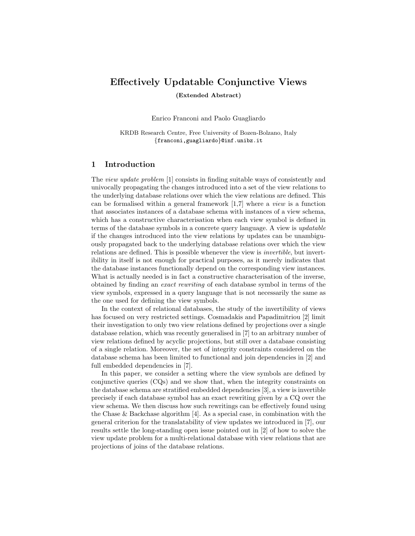# Effectively Updatable Conjunctive Views

(Extended Abstract)

Enrico Franconi and Paolo Guagliardo

KRDB Research Centre, Free University of Bozen-Bolzano, Italy {franconi,guagliardo}@inf.unibz.it

## 1 Introduction

The view update problem [1] consists in finding suitable ways of consistently and univocally propagating the changes introduced into a set of the view relations to the underlying database relations over which the view relations are defined. This can be formalised within a general framework  $[1,7]$  where a *view* is a function that associates instances of a database schema with instances of a view schema, which has a constructive characterisation when each view symbol is defined in terms of the database symbols in a concrete query language. A view is updatable if the changes introduced into the view relations by updates can be unambiguously propagated back to the underlying database relations over which the view relations are defined. This is possible whenever the view is invertible, but invertibility in itself is not enough for practical purposes, as it merely indicates that the database instances functionally depend on the corresponding view instances. What is actually needed is in fact a constructive characterisation of the inverse, obtained by finding an exact rewriting of each database symbol in terms of the view symbols, expressed in a query language that is not necessarily the same as the one used for defining the view symbols.

In the context of relational databases, the study of the invertibility of views has focused on very restricted settings. Cosmadakis and Papadimitriou [2] limit their investigation to only two view relations defined by projections over a single database relation, which was recently generalised in [7] to an arbitrary number of view relations defined by acyclic projections, but still over a database consisting of a single relation. Moreover, the set of integrity constraints considered on the database schema has been limited to functional and join dependencies in [2] and full embedded dependencies in [7].

In this paper, we consider a setting where the view symbols are defined by conjunctive queries (CQs) and we show that, when the integrity constraints on the database schema are stratified embedded dependencies [3], a view is invertible precisely if each database symbol has an exact rewriting given by a CQ over the view schema. We then discuss how such rewritings can be effectively found using the Chase & Backchase algorithm  $[4]$ . As a special case, in combination with the general criterion for the translatability of view updates we introduced in [7], our results settle the long-standing open issue pointed out in [2] of how to solve the view update problem for a multi-relational database with view relations that are projections of joins of the database relations.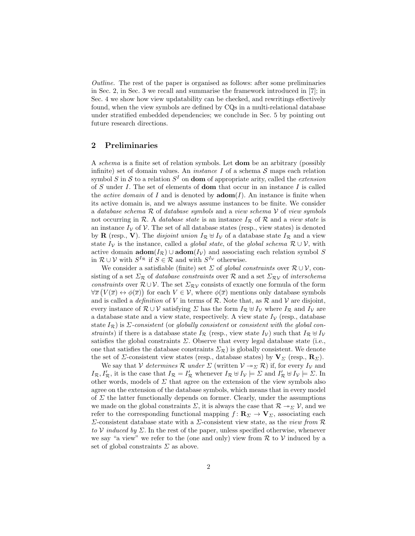Outline. The rest of the paper is organised as follows: after some preliminaries in Sec. 2, in Sec. 3 we recall and summarise the framework introduced in [7]; in Sec. 4 we show how view updatability can be checked, and rewritings effectively found, when the view symbols are defined by CQs in a multi-relational database under stratified embedded dependencies; we conclude in Sec. 5 by pointing out future research directions.

## 2 Preliminaries

A schema is a finite set of relation symbols. Let dom be an arbitrary (possibly infinite) set of domain values. An *instance I* of a schema  $S$  maps each relation symbol S in S to a relation  $S<sup>I</sup>$  on **dom** of appropriate arity, called the *extension* of S under I. The set of elements of **dom** that occur in an instance I is called the *active domain* of I and is denoted by  $\mathbf{adom}(I)$ . An instance is finite when its active domain is, and we always assume instances to be finite. We consider a database schema  $R$  of database symbols and a view schema  $V$  of view symbols not occurring in R. A database state is an instance  $I_{\mathcal{R}}$  of R and a view state is an instance  $I_V$  of V. The set of all database states (resp., view states) is denoted by **R** (resp., **V**). The *disjoint union*  $I_{\mathcal{R}} \oplus I_{\mathcal{V}}$  of a database state  $I_{\mathcal{R}}$  and a view state  $I_V$  is the instance, called a *global state*, of the *global schema*  $\mathcal{R} \cup \mathcal{V}$ , with active domain  $\mathbf{adom}(I_{\mathcal{R}}) \cup \mathbf{adom}(I_{\mathcal{V}})$  and associating each relation symbol S in  $\mathcal{R} \cup \mathcal{V}$  with  $S^{I_{\mathcal{R}}}$  if  $S \in \mathcal{R}$  and with  $S^{I_{\mathcal{V}}}$  otherwise.

We consider a satisfiable (finite) set  $\Sigma$  of global constraints over  $\mathcal{R} \cup \mathcal{V}$ , consisting of a set  $\Sigma_{\mathcal{R}}$  of *database constraints* over  $\mathcal{R}$  and a set  $\Sigma_{\mathcal{RV}}$  of *interschema* constraints over  $\mathcal{R} \cup \mathcal{V}$ . The set  $\Sigma_{\mathcal{RV}}$  consists of exactly one formula of the form  $\forall \overline{x} (V(\overline{x}) \leftrightarrow \phi(\overline{x}))$  for each  $V \in \mathcal{V}$ , where  $\phi(\overline{x})$  mentions only database symbols and is called a *definition* of V in terms of R. Note that, as R and V are disjoint, every instance of  $\mathcal{R} \cup \mathcal{V}$  satisfying  $\Sigma$  has the form  $I_{\mathcal{R}} \oplus I_{\mathcal{V}}$  where  $I_{\mathcal{R}}$  and  $I_{\mathcal{V}}$  are a database state and a view state, respectively. A view state  $I_V$  (resp., database state  $I_{\mathcal{R}}$ ) is  $\Sigma$ -consistent (or globally consistent or consistent with the global constraints) if there is a database state  $I_{\mathcal{R}}$  (resp., view state  $I_{\mathcal{V}}$ ) such that  $I_{\mathcal{R}} \uplus I_{\mathcal{V}}$ satisfies the global constraints  $\Sigma$ . Observe that every legal database state (i.e., one that satisfies the database constraints  $\Sigma_{\mathcal{R}}$ ) is globally consistent. We denote the set of *Σ*-consistent view states (resp., database states) by  $V_\Sigma$  (resp.,  $\mathbf{R}_\Sigma$ ).

We say that V determines R under  $\Sigma$  (written  $V \rightarrow \Sigma \mathcal{R}$ ) if, for every  $I_V$  and  $I_{\mathcal{R}}$ ,  $I'_{\mathcal{R}}$ , it is the case that  $I_{\mathcal{R}} = I'_{\mathcal{R}}$  whenever  $I_{\mathcal{R}} \uplus I_{\mathcal{V}} \models \Sigma$  and  $I'_{\mathcal{R}} \uplus I_{\mathcal{V}} \models \Sigma$ . In other words, models of  $\Sigma$  that agree on the extension of the view symbols also agree on the extension of the database symbols, which means that in every model of  $\Sigma$  the latter functionally depends on former. Clearly, under the assumptions we made on the global constraints  $\Sigma$ , it is always the case that  $\mathcal{R} \to_{\Sigma} \mathcal{V}$ , and we refer to the corresponding functional mapping  $f: \mathbb{R}_{\Sigma} \to \mathbb{V}_{\Sigma}$ , associating each  $Σ$ -consistent database state with a  $Σ$ -consistent view state, as the *view from*  $ℝ$ to V induced by  $\Sigma$ . In the rest of the paper, unless specified otherwise, whenever we say "a view" we refer to the (one and only) view from  $R$  to  $V$  induced by a set of global constraints  $\Sigma$  as above.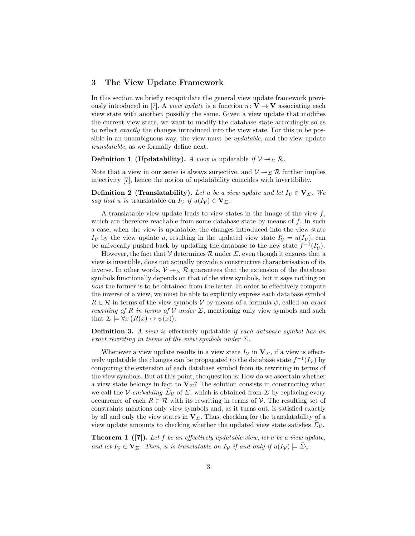### 3 The View Update Framework

In this section we briefly recapitulate the general view update framework previously introduced in [7]. A *view update* is a function  $u: V \to V$  associating each view state with another, possibly the same. Given a view update that modifies the current view state, we want to modify the database state accordingly so as to reflect exactly the changes introduced into the view state. For this to be possible in an unambiguous way, the view must be *updatable*, and the view update translatable, as we formally define next.

**Definition 1 (Updatability).** A view is updatable if  $V \rightarrow \Sigma \mathcal{R}$ .

Note that a view in our sense is always surjective, and  $V \rightarrow \Sigma \mathcal{R}$  further implies injectivity [7], hence the notion of updatability coincides with invertibility.

**Definition 2 (Translatability).** Let u be a view update and let  $I_v \in V_\Sigma$ . We say that u is translatable on  $I_{\mathcal{V}}$  if  $u(I_{\mathcal{V}}) \in \mathbf{V}_{\mathcal{Z}}$ .

A translatable view update leads to view states in the image of the view  $f$ , which are therefore reachable from some database state by means of  $f$ . In such a case, when the view is updatable, the changes introduced into the view state  $I_V$  by the view update u, resulting in the updated view state  $I'_V = u(I_V)$ , can be univocally pushed back by updating the database to the new state  $f^{-1}(I'_{\mathcal{V}})$ .

However, the fact that V determines  $\mathcal R$  under  $\Sigma$ , even though it ensures that a view is invertible, does not actually provide a constructive characterisation of its inverse. In other words,  $V \rightarrow \Sigma \mathcal{R}$  guarantees that the extension of the database symbols functionally depends on that of the view symbols, but it says nothing on how the former is to be obtained from the latter. In order to effectively compute the inverse of a view, we must be able to explicitly express each database symbol  $R \in \mathcal{R}$  in terms of the view symbols V by means of a formula  $\psi$ , called an *exact rewriting of R in terms of V under*  $\Sigma$ *, mentioning only view symbols and such* that  $\Sigma \models \forall \overline{x} (R(\overline{x}) \leftrightarrow \psi(\overline{x})).$ 

Definition 3. A view is effectively updatable if each database symbol has an exact rewriting in terms of the view symbols under  $\Sigma$ .

Whenever a view update results in a view state  $I_V$  in  $V_\Sigma$ , if a view is effectively updatable the changes can be propagated to the database state  $f^{-1}(I_\mathcal{V})$  by computing the extension of each database symbol from its rewriting in terms of the view symbols. But at this point, the question is: How do we ascertain whether a view state belongs in fact to  $V_\Sigma$ ? The solution consists in constructing what we call the V-embedding  $\Sigma_{\mathcal{V}}$  of  $\Sigma$ , which is obtained from  $\Sigma$  by replacing every occurrence of each  $R \in \mathcal{R}$  with its rewriting in terms of  $\mathcal{V}$ . The resulting set of constraints mentions only view symbols and, as it turns out, is satisfied exactly by all and only the view states in  $V_{\Sigma}$ . Thus, checking for the translatability of a view update amounts to checking whether the updated view state satisfies  $\Sigma_{\mathcal{V}}$ .

**Theorem 1** ([7]). Let f be an effectively updatable view, let u be a view update, and let  $I_V \in V_\Sigma$ . Then, u is translatable on  $I_V$  if and only if  $u(I_V) \models \Sigma_V$ .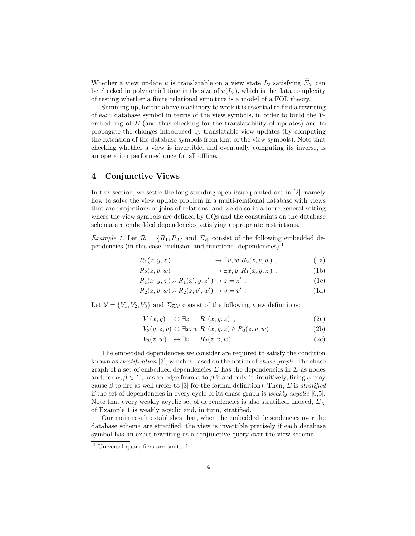Whether a view update u is translatable on a view state  $I_V$  satisfying  $\widetilde{\Sigma}_V$  can be checked in polynomial time in the size of  $u(I_{\mathcal{V}})$ , which is the data complexity of testing whether a finite relational structure is a model of a FOL theory.

Summing up, for the above machinery to work it is essential to find a rewriting of each database symbol in terms of the view symbols, in order to build the  $\mathcal{V}$ embedding of  $\Sigma$  (and thus checking for the translatability of updates) and to propagate the changes introduced by translatable view updates (by computing the extension of the database symbols from that of the view symbols). Note that checking whether a view is invertible, and eventually computing its inverse, is an operation performed once for all offline.

## 4 Conjunctive Views

In this section, we settle the long-standing open issue pointed out in [2], namely how to solve the view update problem in a multi-relational database with views that are projections of joins of relations, and we do so in a more general setting where the view symbols are defined by CQs and the constraints on the database schema are embedded dependencies satisfying appropriate restrictions.

Example 1. Let  $\mathcal{R} = \{R_1, R_2\}$  and  $\Sigma_{\mathcal{R}}$  consist of the following embedded dependencies (in this case, inclusion and functional dependencies): $<sup>1</sup>$ </sup>

$$
R_1(x, y, z) \longrightarrow \exists v, w \ R_2(z, v, w) , \qquad (1a)
$$

$$
R_2(z, v, w) \longrightarrow \exists x, y \ R_1(x, y, z) , \qquad (1b)
$$

$$
R_1(x, y, z) \wedge R_1(x', y, z') \rightarrow z = z' , \qquad (1c)
$$

$$
R_2(z, v, w) \wedge R_2(z, v', w') \rightarrow v = v' . \tag{1d}
$$

Let  $V = \{V_1, V_2, V_3\}$  and  $\Sigma_{RV}$  consist of the following view definitions:

$$
V_1(x,y) \quad \leftrightarrow \exists z \qquad R_1(x,y,z) \quad , \tag{2a}
$$

$$
V_2(y, z, v) \leftrightarrow \exists x, w \; R_1(x, y, z) \land R_2(z, v, w) \; , \tag{2b}
$$

$$
V_3(z, w) \leftrightarrow \exists v \qquad R_2(z, v, w) \tag{2c}
$$

The embedded dependencies we consider are required to satisfy the condition known as stratification [3], which is based on the notion of chase graph: The chase graph of a set of embedded dependencies  $\Sigma$  has the dependencies in  $\Sigma$  as nodes and, for  $\alpha, \beta \in \Sigma$ , has an edge from  $\alpha$  to  $\beta$  if and only if, intuitively, firing  $\alpha$  may cause  $\beta$  to fire as well (refer to [3] for the formal definition). Then,  $\Sigma$  is *stratified* if the set of dependencies in every cycle of its chase graph is weakly acyclic [6,5]. Note that every weakly acyclic set of dependencies is also stratified. Indeed,  $\Sigma_{\mathcal{R}}$ of Example 1 is weakly acyclic and, in turn, stratified.

Our main result establishes that, when the embedded dependencies over the database schema are stratified, the view is invertible precisely if each database symbol has an exact rewriting as a conjunctive query over the view schema.

<sup>&</sup>lt;sup>1</sup> Universal quantifiers are omitted.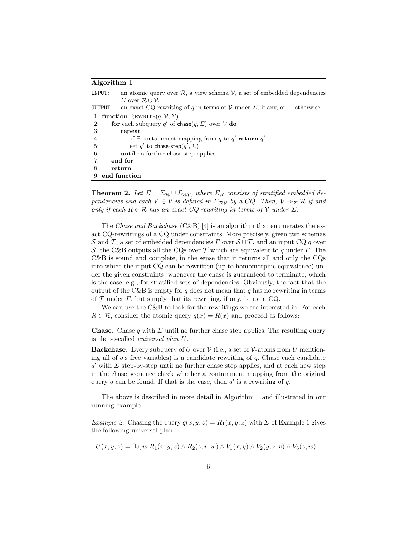#### Algorithm 1

| INPUT:                               | an atomic query over $\mathcal{R}$ , a view schema $\mathcal{V}$ , a set of embedded dependencies |
|--------------------------------------|---------------------------------------------------------------------------------------------------|
|                                      | $\Sigma$ over $\mathcal{R} \cup \mathcal{V}$ .                                                    |
| OUTPUT:                              | an exact CQ rewriting of q in terms of V under $\Sigma$ , if any, or $\bot$ otherwise.            |
| 1: function REWRITE $(q, V, \Sigma)$ |                                                                                                   |
| 2:                                   | for each subquery q' of chase $(q, \Sigma)$ over $V$ do                                           |
| 3:                                   | repeat                                                                                            |
| 4:                                   | <b>if</b> $\exists$ containment mapping from q to q' return q'                                    |
| 5:                                   | set q' to chase-step $(q', \Sigma)$                                                               |
| 6:                                   | until no further chase step applies                                                               |
| 7:                                   | end for                                                                                           |
| 8:                                   | return 1                                                                                          |
| 9: end function                      |                                                                                                   |

**Theorem 2.** Let  $\Sigma = \Sigma_{\mathcal{R}} \cup \Sigma_{\mathcal{RV}}$ , where  $\Sigma_{\mathcal{R}}$  consists of stratified embedded dependencies and each  $V \in V$  is defined in  $\Sigma_{\mathcal{RV}}$  by a  $CQ$ . Then,  $V \rightarrow_{\Sigma} \mathcal{R}$  if and only if each  $R \in \mathcal{R}$  has an exact CQ rewriting in terms of V under  $\Sigma$ .

The *Chase and Backchase* (C&B) [4] is an algorithm that enumerates the exact CQ-rewritings of a CQ under constraints. More precisely, given two schemas S and T, a set of embedded dependencies  $\Gamma$  over  $\mathcal{S} \cup \mathcal{T}$ , and an input CQ q over S, the C&B outputs all the CQs over  $\mathcal T$  which are equivalent to q under  $\Gamma$ . The C&B is sound and complete, in the sense that it returns all and only the CQs into which the input CQ can be rewritten (up to homomorphic equivalence) under the given constraints, whenever the chase is guaranteed to terminate, which is the case, e.g., for stratified sets of dependencies. Obviously, the fact that the output of the C&B is empty for q does not mean that q has no rewriting in terms of  $\mathcal T$  under  $\Gamma$ , but simply that its rewriting, if any, is not a CQ.

We can use the C&B to look for the rewritings we are interested in. For each  $R \in \mathcal{R}$ , consider the atomic query  $q(\overline{x}) = R(\overline{x})$  and proceed as follows:

**Chase.** Chase q with  $\Sigma$  until no further chase step applies. The resulting query is the so-called universal plan U.

**Backchase.** Every subquery of U over  $V$  (i.e., a set of  $V$ -atoms from U mentioning all of  $q$ 's free variables) is a candidate rewriting of  $q$ . Chase each candidate  $q'$  with  $\Sigma$  step-by-step until no further chase step applies, and at each new step in the chase sequence check whether a containment mapping from the original query q can be found. If that is the case, then  $q'$  is a rewriting of q.

The above is described in more detail in Algorithm 1 and illustrated in our running example.

Example 2. Chasing the query  $q(x, y, z) = R_1(x, y, z)$  with  $\Sigma$  of Example 1 gives the following universal plan:

$$
U(x, y, z) = \exists v, w \ R_1(x, y, z) \land R_2(z, v, w) \land V_1(x, y) \land V_2(y, z, v) \land V_3(z, w) .
$$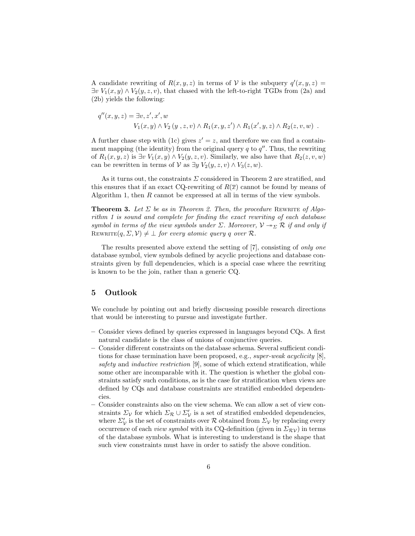A candidate rewriting of  $R(x, y, z)$  in terms of V is the subquery  $q'(x, y, z) =$  $\exists v \ V_1(x, y) \wedge V_2(y, z, v)$ , that chased with the left-to-right TGDs from (2a) and (2b) yields the following:

$$
q''(x, y, z) = \exists v, z', x', w
$$
  
 
$$
V_1(x, y) \wedge V_2(y, z, v) \wedge R_1(x, y, z') \wedge R_1(x', y, z) \wedge R_2(z, v, w) .
$$

A further chase step with (1c) gives  $z' = z$ , and therefore we can find a containment mapping (the identity) from the original query  $q$  to  $q''$ . Thus, the rewriting of  $R_1(x, y, z)$  is  $\exists v V_1(x, y) \wedge V_2(y, z, v)$ . Similarly, we also have that  $R_2(z, v, w)$ can be rewritten in terms of  $V$  as  $\exists y V_2(y, z, v) \wedge V_3(z, w)$ .

As it turns out, the constraints  $\Sigma$  considered in Theorem 2 are stratified, and this ensures that if an exact CQ-rewriting of  $R(\bar{x})$  cannot be found by means of Algorithm 1, then  $R$  cannot be expressed at all in terms of the view symbols.

**Theorem 3.** Let  $\Sigma$  be as in Theorem 2. Then, the procedure REWRITE of Algorithm 1 is sound and complete for finding the exact rewriting of each database symbol in terms of the view symbols under  $\Sigma$ . Moreover,  $V \rightarrow \Sigma \mathcal{R}$  if and only if REWRITE $(q, \Sigma, \mathcal{V}) \neq \bot$  for every atomic query q over R.

The results presented above extend the setting of [7], consisting of only one database symbol, view symbols defined by acyclic projections and database constraints given by full dependencies, which is a special case where the rewriting is known to be the join, rather than a generic CQ.

### 5 Outlook

We conclude by pointing out and briefly discussing possible research directions that would be interesting to pursue and investigate further.

- Consider views defined by queries expressed in languages beyond CQs. A first natural candidate is the class of unions of conjunctive queries.
- Consider different constraints on the database schema. Several sufficient conditions for chase termination have been proposed, e.g., super-weak acyclicity [8], safety and *inductive restriction* [9], some of which extend stratification, while some other are incomparable with it. The question is whether the global constraints satisfy such conditions, as is the case for stratification when views are defined by CQs and database constraints are stratified embedded dependencies.
- Consider constraints also on the view schema. We can allow a set of view constraints  $\Sigma_{\mathcal{V}}$  for which  $\Sigma_{\mathcal{R}} \cup \Sigma_{\mathcal{V}}'$  is a set of stratified embedded dependencies, where  $\Sigma_{\mathcal{V}}'$  is the set of constraints over  $\mathcal R$  obtained from  $\Sigma_{\mathcal{V}}$  by replacing every occurrence of each *view symbol* with its CQ-definition (given in  $\Sigma_{\mathcal{RV}}$ ) in terms of the database symbols. What is interesting to understand is the shape that such view constraints must have in order to satisfy the above condition.